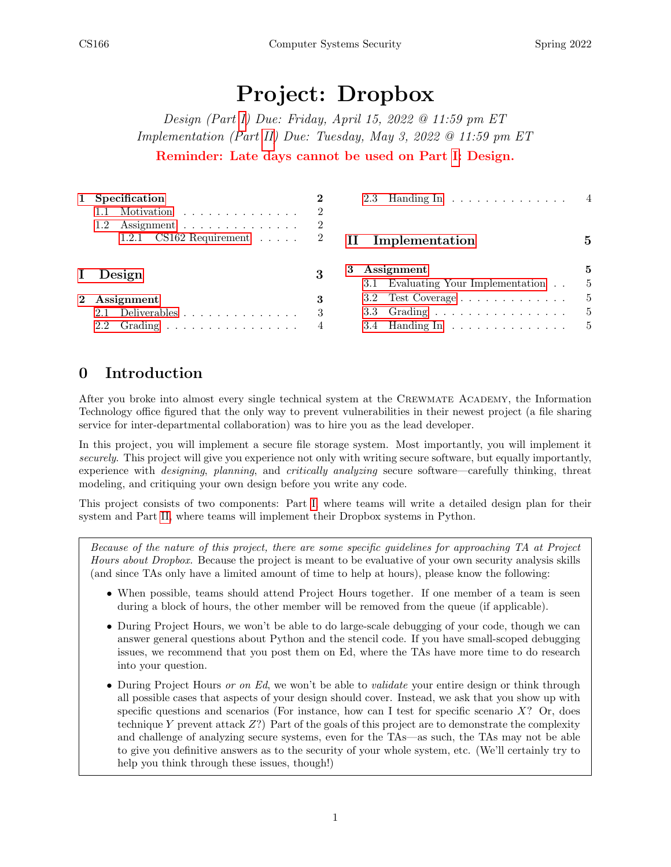# Project: Dropbox

Design (Part [I\)](#page-2-0) Due: Friday, April 15, 2022 @ 11:59 pm ET Implementation (Part [II\)](#page-4-0) Due: Tuesday, May 3, 2022 @ 11:59 pm ET Reminder: Late days cannot be used on Part [I:](#page-2-0) Design.

|              | Specification<br>Motivation                              |   | 2.3 Handing In 4                                                                                       |                    |
|--------------|----------------------------------------------------------|---|--------------------------------------------------------------------------------------------------------|--------------------|
|              | Assignment<br>$1.2^{\circ}$<br>1.2.1 $CS162$ Requirement |   | Implementation                                                                                         |                    |
| $\mathbf{I}$ | Design                                                   |   | Assignment<br>3<br>3.1 Evaluating Your Implementation                                                  | 5                  |
| $2^{\circ}$  | Assignment<br>$2.1$ Deliverables<br>$2.2$ Grading        | 3 | 3.2 Test Coverage $\dots \dots \dots \dots$<br>3.3 Grading<br>3.4 Handing In $\dots \dots \dots \dots$ | $\frac{5}{2}$<br>5 |

## 0 Introduction

After you broke into almost every single technical system at the CREWMATE ACADEMY, the Information Technology office figured that the only way to prevent vulnerabilities in their newest project (a file sharing service for inter-departmental collaboration) was to hire you as the lead developer.

In this project, you will implement a secure file storage system. Most importantly, you will implement it securely. This project will give you experience not only with writing secure software, but equally importantly, experience with designing, planning, and critically analyzing secure software—carefully thinking, threat modeling, and critiquing your own design before you write any code.

This project consists of two components: Part [I,](#page-2-0) where teams will write a detailed design plan for their system and Part [II,](#page-4-0) where teams will implement their Dropbox systems in Python.

Because of the nature of this project, there are some specific guidelines for approaching TA at Project Hours about Dropbox. Because the project is meant to be evaluative of your own security analysis skills (and since TAs only have a limited amount of time to help at hours), please know the following:

- When possible, teams should attend Project Hours together. If one member of a team is seen during a block of hours, the other member will be removed from the queue (if applicable).
- During Project Hours, we won't be able to do large-scale debugging of your code, though we can answer general questions about Python and the stencil code. If you have small-scoped debugging issues, we recommend that you post them on Ed, where the TAs have more time to do research into your question.
- During Project Hours or on Ed, we won't be able to *validate* your entire design or think through all possible cases that aspects of your design should cover. Instead, we ask that you show up with specific questions and scenarios (For instance, how can I test for specific scenario  $X$ ? Or, does technique Y prevent attack Z?) Part of the goals of this project are to demonstrate the complexity and challenge of analyzing secure systems, even for the TAs—as such, the TAs may not be able to give you definitive answers as to the security of your whole system, etc. (We'll certainly try to help you think through these issues, though!)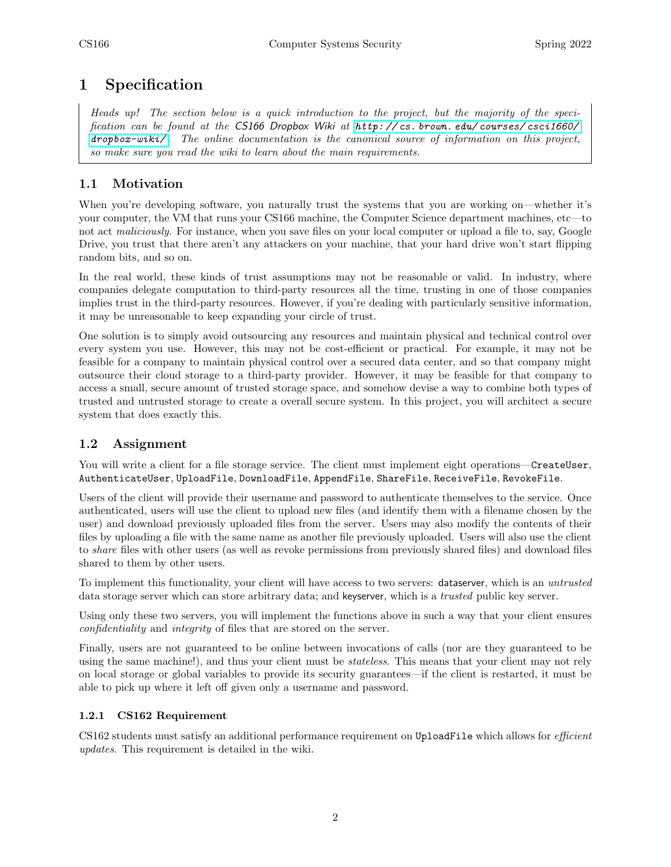## <span id="page-1-0"></span>1 Specification

Heads up! The section below is a quick introduction to the project, but the majority of the specification can be found at the CS166 Dropbox Wiki at http://cs.brown.edu/courses/csci1660/ [dropbox-wiki/](http://cs.brown.edu/courses/csci1660/dropbox-wiki/) . The online documentation is the canonical source of information on this project, so make sure you read the wiki to learn about the main requirements.

#### <span id="page-1-1"></span>1.1 Motivation

When you're developing software, you naturally trust the systems that you are working on—whether it's your computer, the VM that runs your CS166 machine, the Computer Science department machines, etc—to not act maliciously. For instance, when you save files on your local computer or upload a file to, say, Google Drive, you trust that there aren't any attackers on your machine, that your hard drive won't start flipping random bits, and so on.

In the real world, these kinds of trust assumptions may not be reasonable or valid. In industry, where companies delegate computation to third-party resources all the time, trusting in one of those companies implies trust in the third-party resources. However, if you're dealing with particularly sensitive information, it may be unreasonable to keep expanding your circle of trust.

One solution is to simply avoid outsourcing any resources and maintain physical and technical control over every system you use. However, this may not be cost-efficient or practical. For example, it may not be feasible for a company to maintain physical control over a secured data center, and so that company might outsource their cloud storage to a third-party provider. However, it may be feasible for that company to access a small, secure amount of trusted storage space, and somehow devise a way to combine both types of trusted and untrusted storage to create a overall secure system. In this project, you will architect a secure system that does exactly this.

#### <span id="page-1-2"></span>1.2 Assignment

You will write a client for a file storage service. The client must implement eight operations—CreateUser, AuthenticateUser, UploadFile, DownloadFile, AppendFile, ShareFile, ReceiveFile, RevokeFile.

Users of the client will provide their username and password to authenticate themselves to the service. Once authenticated, users will use the client to upload new files (and identify them with a filename chosen by the user) and download previously uploaded files from the server. Users may also modify the contents of their files by uploading a file with the same name as another file previously uploaded. Users will also use the client to share files with other users (as well as revoke permissions from previously shared files) and download files shared to them by other users.

To implement this functionality, your client will have access to two servers: dataserver, which is an untrusted data storage server which can store arbitrary data; and keyserver, which is a trusted public key server.

Using only these two servers, you will implement the functions above in such a way that your client ensures confidentiality and integrity of files that are stored on the server.

Finally, users are not guaranteed to be online between invocations of calls (nor are they guaranteed to be using the same machine!), and thus your client must be *stateless*. This means that your client may not rely on local storage or global variables to provide its security guarantees—if the client is restarted, it must be able to pick up where it left off given only a username and password.

#### <span id="page-1-3"></span>1.2.1 CS162 Requirement

CS162 students must satisfy an additional performance requirement on UploadFile which allows for *efficient* updates. This requirement is detailed in the wiki.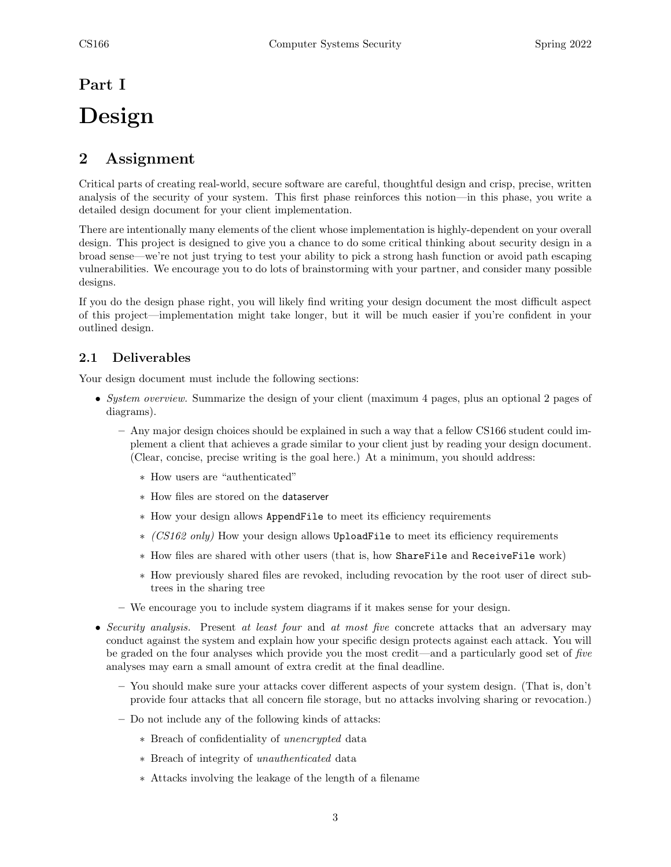## <span id="page-2-0"></span>Part I

# Design

## <span id="page-2-1"></span>2 Assignment

Critical parts of creating real-world, secure software are careful, thoughtful design and crisp, precise, written analysis of the security of your system. This first phase reinforces this notion—in this phase, you write a detailed design document for your client implementation.

There are intentionally many elements of the client whose implementation is highly-dependent on your overall design. This project is designed to give you a chance to do some critical thinking about security design in a broad sense—we're not just trying to test your ability to pick a strong hash function or avoid path escaping vulnerabilities. We encourage you to do lots of brainstorming with your partner, and consider many possible designs.

If you do the design phase right, you will likely find writing your design document the most difficult aspect of this project—implementation might take longer, but it will be much easier if you're confident in your outlined design.

#### <span id="page-2-2"></span>2.1 Deliverables

Your design document must include the following sections:

- System overview. Summarize the design of your client (maximum 4 pages, plus an optional 2 pages of diagrams).
	- Any major design choices should be explained in such a way that a fellow CS166 student could implement a client that achieves a grade similar to your client just by reading your design document. (Clear, concise, precise writing is the goal here.) At a minimum, you should address:
		- ∗ How users are "authenticated"
		- ∗ How files are stored on the dataserver
		- ∗ How your design allows AppendFile to meet its efficiency requirements
		- ∗ (CS162 only) How your design allows UploadFile to meet its efficiency requirements
		- ∗ How files are shared with other users (that is, how ShareFile and ReceiveFile work)
		- ∗ How previously shared files are revoked, including revocation by the root user of direct subtrees in the sharing tree
	- We encourage you to include system diagrams if it makes sense for your design.
- Security analysis. Present at least four and at most five concrete attacks that an adversary may conduct against the system and explain how your specific design protects against each attack. You will be graded on the four analyses which provide you the most credit—and a particularly good set of five analyses may earn a small amount of extra credit at the final deadline.
	- You should make sure your attacks cover different aspects of your system design. (That is, don't provide four attacks that all concern file storage, but no attacks involving sharing or revocation.)
	- Do not include any of the following kinds of attacks:
		- ∗ Breach of confidentiality of unencrypted data
		- ∗ Breach of integrity of unauthenticated data
		- ∗ Attacks involving the leakage of the length of a filename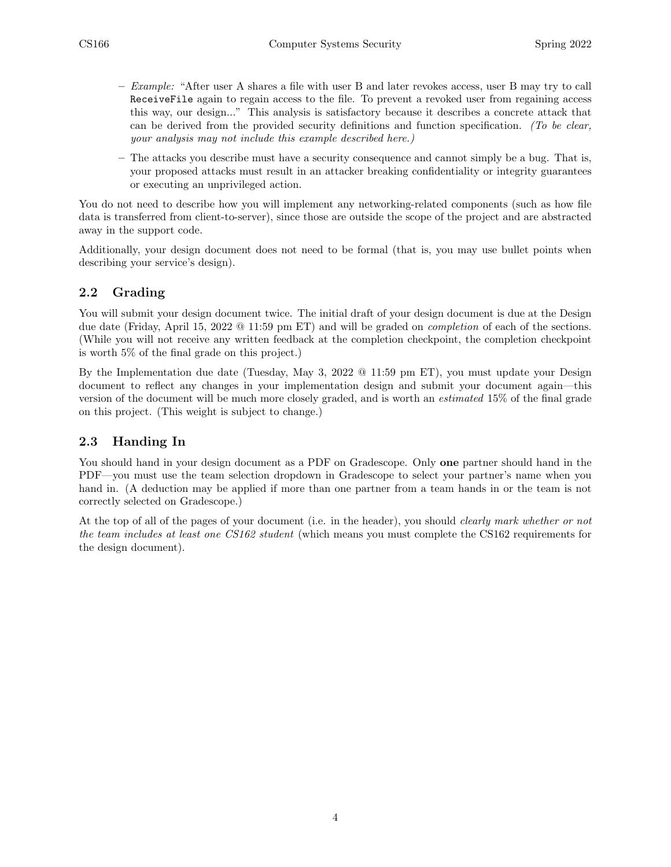- $-$  *Example:* "After user A shares a file with user B and later revokes access, user B may try to call ReceiveFile again to regain access to the file. To prevent a revoked user from regaining access this way, our design..." This analysis is satisfactory because it describes a concrete attack that can be derived from the provided security definitions and function specification. (To be clear, your analysis may not include this example described here.)
- The attacks you describe must have a security consequence and cannot simply be a bug. That is, your proposed attacks must result in an attacker breaking confidentiality or integrity guarantees or executing an unprivileged action.

You do not need to describe how you will implement any networking-related components (such as how file data is transferred from client-to-server), since those are outside the scope of the project and are abstracted away in the support code.

Additionally, your design document does not need to be formal (that is, you may use bullet points when describing your service's design).

#### <span id="page-3-0"></span>2.2 Grading

You will submit your design document twice. The initial draft of your design document is due at the Design due date (Friday, April 15, 2022 @ 11:59 pm ET) and will be graded on completion of each of the sections. (While you will not receive any written feedback at the completion checkpoint, the completion checkpoint is worth 5% of the final grade on this project.)

By the Implementation due date (Tuesday, May 3, 2022 @ 11:59 pm ET), you must update your Design document to reflect any changes in your implementation design and submit your document again—this version of the document will be much more closely graded, and is worth an estimated 15% of the final grade on this project. (This weight is subject to change.)

#### <span id="page-3-1"></span>2.3 Handing In

You should hand in your design document as a PDF on Gradescope. Only **one** partner should hand in the PDF—you must use the team selection dropdown in Gradescope to select your partner's name when you hand in. (A deduction may be applied if more than one partner from a team hands in or the team is not correctly selected on Gradescope.)

At the top of all of the pages of your document (i.e. in the header), you should *clearly mark whether or not* the team includes at least one CS162 student (which means you must complete the CS162 requirements for the design document).